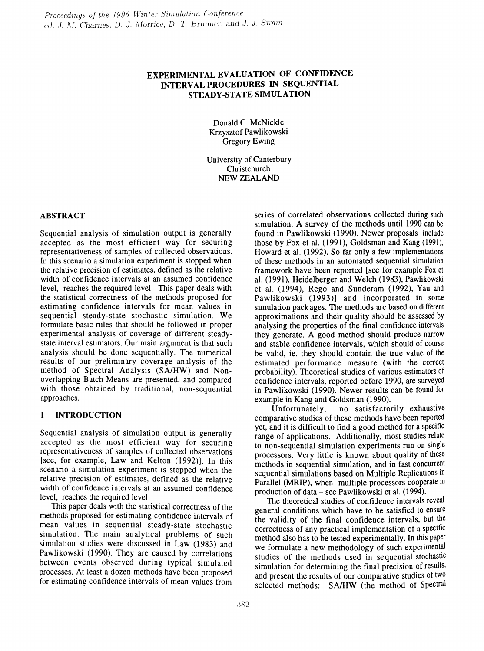# EXPERIMENTAL EVALUATION OF CONFIDENCE INTERVAL PROCEDURES IN SEQUENTIAL STEADY-STATE SIMULATION

Donald C. McNickle Krzysztof Pawlikowski Gregory Ewing

University of Canterbury Christchurch NEW ZEALAND

### ABSTRACT

Sequential analysis of simulation output is generally accepted as the most efficient way for securing representativeness of samples of collected observations. In this scenario a simulation experiment is stopped when the relative precision of estimates, defined as the relative width of confidence intervals at an assumed confidence level, reaches the required level. This paper deals with the statistical correctness of the methods proposed for estimating confidence intervals for mean values in sequential steady-state stochastic simulation. We fonnulate basic rules that should be followed in proper experimental analysis of coverage of different steadystate interval estimators. Our main argument is that such analysis should be done sequentially. The numerical results of our preliminary coverage analysis of the method of Spectral Analysis (SA/HW) and Nonoverlapping Batch Means are presented, and compared with those obtained by traditional, non-sequential approaches.

# 1 INTRODUCTION

Sequential analysis of simulation output is generally accepted as the most efficient way for securing representativeness of samples of collected observations [see, for example, Law and Kelton (1992)]. In this scenario a simulation experiment is stopped when the relative precision of estimates, defined as the relative width of confidence intervals at an assumed confidence level, reaches the required level.

This paper deals with the statistical correctness of the methods proposed for estimating confidence intervals of mean values in sequential steady-state stochastic simulation. The main analytical problems of such simulation studies were discussed in Law (1983) and Pawlikowski (1990). They are caused by correlations between events observed during typical simulated processes. At least a dozen methods have been proposed for estimating confidence intervals of mean values from

series of correlated observations collected during such simulation. A survey of the methods until 1990 can be found in Pawlikowski (1990). Newer proposals include those by Fox et al.  $(1991)$ , Goldsman and Kang  $(1991)$ , Howard et al. (1992). So far only a few implementations of these methods in an automated sequential simulation framework have been reported [see for example Fox et al. (1991), Heidelberger and Welch (1983), Pawlikowski et al. (1994), Rego and Sunderam (1992), Yau and Pawlikowski (1993)] and incorporated in some simulation pack ages. The methods are based on different approximations and their quality should be assessed by analysing the properties of the final confidence intervals they generate. A good method should produce narrow and stable confidence intervals, which should of course be valid, ie. they should contain the true value of the estimated performance measure (with the correct probability). Theoretical studies of various estimators of confidence intervals, reported before 1990, are surveyed in Pawlikowski (1990). Newer results can be found for example in Kang and Goldsman (1990).

Unfortunately, no satisfactorily exhaustive comparative studies of these methods have been reported yet, and it is difficult to find a good method for a specific range of applications. Additionally, most studies relate to non-sequential simulation experiments run on single processors. Very little is known about quality of these methods in sequential simulation, and in fast concurrent sequential simulations based on Multiple Replications in Parallel (MRIP), when multiple processors cooperate in production of data - see Pawlikowski et al. (1994).

The theoretical studies of confidence intervals reveal general conditions which have to be satisfied to ensure the validity of the final confidence intervals, but the correctness of any practical implementation of a specific method also has to be tested experimentally. In this paper we formulate a new methodology of such experimental studies of the methods used in sequential stochastic simulation for determining the final precision of results, and present the results of our comparative studies of two selected methods: SA/HW (the method of Spectral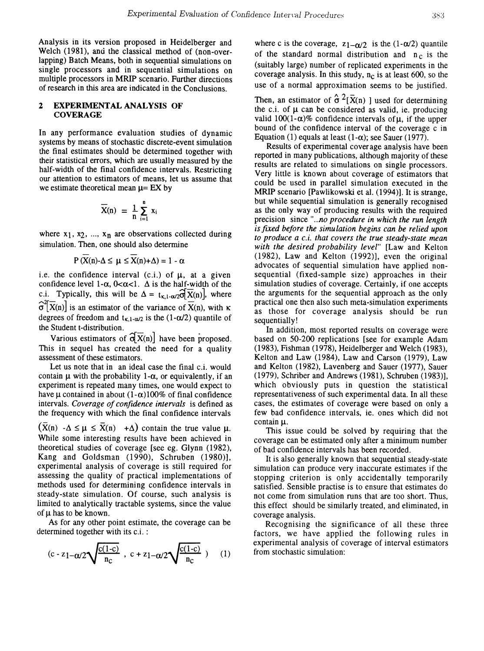Analysis in its version proposed in Heidelberger and Welch (1981), and the classical method of (non-overlapping) Batch Means, both in sequential simulations on single processors and in sequential simulations on multiple processors in MRIP scenario. Further directions of research in this area are indicated in the Conclusions.

#### 2 EXPERIMENTAL ANALYSIS OF COVERAGE

In any performance evaluation studies of dynamic systems by means of stochastic discrete-event simulation the final estimates should be determined together with their statistical errors, which are usually measured by the half-width of the final confidence intervals. Restricting our attention to estimators of means, let us assume that we estimate theoretical mean  $\mu$ = EX by

$$
\overline{X}(n) = \frac{1}{n} \sum_{i=1}^{n} x_i
$$

where  $x_1$ ,  $x_2$ , ...,  $x_n$  are observations collected during simulation. Then, one should also determine

$$
P(X(n)-\Delta \leq \mu \leq X(n)+\Delta) = 1 - \alpha
$$

i.e. the confidence interval (c.i.) of  $\mu$ , at a given confidence level 1- $\alpha$ , 0< $\alpha$ <1.  $\Delta$  is the half-width of the c.i. Typically, this will be  $\Delta = t_{\kappa,1-\alpha/2} \overrightarrow{\mathbf{G}}(\mathbf{X(n)})$ , where  $\widehat{\sigma}^2[\overline{X}(n)]$  is an estimator of the variance of  $\overline{X}(n)$ , with  $\kappa$ degrees of freedom and  $t_{\kappa,1-\alpha/2}$  is the (1- $\alpha/2$ ) quantile of the Student t-distribution.

Various estimators of  $\widehat{\sigma}[{\overline{X}}(n)]$  have been proposed. This in sequel has created the need for a quality assessment of these estimators.

Let us note that in an ideal case the final c.i. would contain  $\mu$  with the probability 1- $\alpha$ , or equivalently, if an experiment is repeated many times, one would expect to have  $\mu$  contained in about (1- $\alpha$ )100% of final confidence intervals. *Coverage of confulence intervals* is defined as the frequency with which the final confidence intervals

 $(X(n) - \Delta \le \mu \le \overline{X}(n) + \Delta)$  contain the true value  $\mu$ . While some interesting results have been achieved in theoretical studies of coverage [see eg. Glynn (1982), Kang and Goldsman (1990), Schruben (1980)], experimental analysis of coverage is still required for assessing the quality of practical implementations of methods used for determining confidence intervals in steady-state simulation. Of course, such analysis is limited to analytically tractable systems, since the value of  $\mu$  has to be known.

As for any other point estimate, the coverage can be determined together with its c.i. :

$$
(c - z_1 - \omega/2 \sqrt{\frac{c(1-c)}{n_c}}
$$
,  $c + z_1 - \omega/2 \sqrt{\frac{c(1-c)}{n_c}}$  ) (1)

where c is the coverage,  $z_1-\alpha/2$  is the (1- $\alpha/2$ ) quantile of the standard normal distribution and  $n_c$  is the (suitably large) number of replicated experiments in the coverage analysis. In this study,  $n_c$  is at least 600, so the use of a normal approximation seems to be justified.

Then, an estimator of  $\hat{\sigma}^2[\bar{X}(n)]$  used for determining the c.i. of  $\mu$  can be considered as valid, ie. producing valid  $100(1-\alpha)\%$  confidence intervals of  $\mu$ , if the upper bound of the confidence interval of the coverage c in Equation (1) equals at least  $(1-\alpha)$ ; see Sauer (1977).

Results of experimental coverage analysis have been reported in many publications, although majority of these results are related to simulations on single processors. Very little is known about coverage of estimators that could be used in parallel simulation executed in the MRIP scenario [Pawlikowski et al. (1994)]. It is strange, but while sequential simulation is generally recognised as the only way of producing results with the required precision since "...no procedure in which the run length *is fued before the simu lation begins can be relied upon to produce a c.* i. *that covers the true steady-state mean with the desired probability level"* [Law and Kelton (1982), Law and Kelton (1992)], even the original advocates of sequential simulation have applied nonsequential (fixed-sample size) approaches in their simulation studies of coverage. Certainly, if one accepts the arguments for the sequential approach as the only practical one then also such meta-simulation experiments as those for coverage analysis should be run sequentially!

In addition, most reported results on coverage were based on 50-200 replications [see for example Adam (1983), Fishman (1978), Heidelberger and Welch (1983), Kelton and Law (1984), Law and Carson (1979), Law and Kelton (1982), Lavenberg and Sauer (1977), Sauer (1979), Schriber and Andrews (1981), Schruben (1983)], which obviously puts in question the statistical representativeness of such experimental data. In all these cases, the estimates of coverage were based on only a few bad confidence intervals, ie. ones which did not contain  $\mu$ .

This issue could be solved by requiring that the coverage can be estimated only after a minimum number of bad confidence intervals has been recorded.

It is also generally known that sequential steady-state simulation can produce very inaccurate estimates if the stopping criterion is only accidentally temporarily satisfied. Sensible practise is to ensure that estimates do not come from simulation runs that are too short. Thus, this effect should be similarly treated, and eliminated, in coverage analysis.

Recognising the significance of all these three factors, we have applied the following rules in experimental analysis of coverage of interval estimators from stochastic simulation: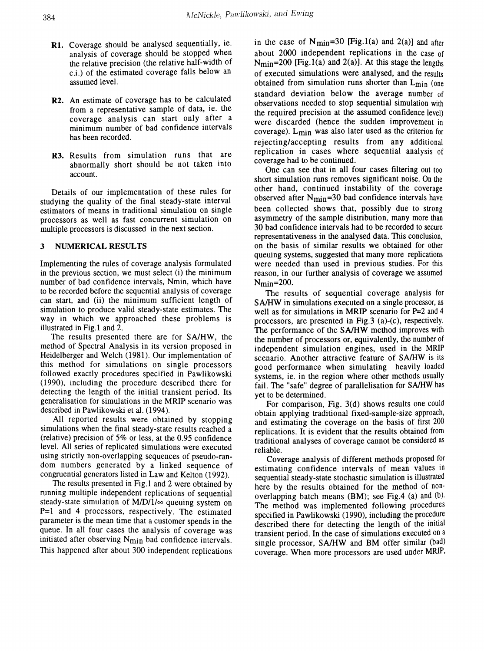- Rl. Coverage should be analysed sequentially, ie. analysis of coverage should be stopped when the relative precision (the relative half-WIdth of c.i.) of the estimated coverage falls below an assumed level.
- R2. An estimate of coverage has to be calculated from a representative sample of data, ie. the coverage analysis can start only after a minimum number of bad confidence intervals has been recorded.
- R3. Results from simulation runs that are abnormally short should be not taken into account.

Details of our implementation of these rules for studying the quality of the final steady-state interval estimators of means in traditional simulation on single processors as well as fast concurrent simulation on multiple processors is discussed in the next section.

## 3 NUMERICAL RESULTS

Implementing the rules of coverage analysis fonnulated in the previous section, we must select  $(i)$  the minimum number of bad confidence intervals, Nmin, which have to be recorded before the sequential analysis of coverage can start, and (ii) the minimum sufficient length of simulation to produce valid steady-state estimates. The way in which we approached these problems is illustrated in Fig.l and 2.

The results presented there are for SA/HW, the method of Spectral Analysis in its version proposed in Heidelberger and Welch (1981). Our implementation of this method for simulations on single processors followed exactly procedures specified in Pawlikowski (1990), including the procedure described there for detecting the length of the initial transient period. Its generalisation for simulations in the MRIP scenario was described in Pawlikowski et al. (1994).

All reported results were obtained by stopping simulations when the final steady-state results reached a (relative) precision of 5% or less, at the 0.95 confidence level. All series of replicated simulations were executed using strictly non-overlapping sequences of pseudo-random numbers generated by a linked sequence of congruential generators listed in Law and Kelton (1992).

The results presented in Fig.l and 2 were obtained by running multiple independent replications of sequential steady-state simulation of M/D/1/ $\infty$  queuing system on p=1 and 4 processors, respectively. The estimated parameter is the mean time that a customer spends in the queue. In all four cases the analysis of coverage was initiated after observing N<sub>min</sub> bad confidence intervals. This happened after about 300 independent replications

in the case of  $N_{\text{min}}=30$  [Fig.1(a) and 2(a)] and after about 2000 independent replications in the case of  $N_{\text{min}}$ =200 [Fig.1(a) and 2(a)]. At this stage the lengths of executed simulations were analysed, and the results obtained from simulation runs shorter than  $L_{\text{min}}$  (one standard deviation below the average number of observations needed to stop sequential simulation with the required precision at the assumed confidence level) were discarded (hence the sudden improvement in coverage).  $L_{\text{min}}$  was also later used as the criterion for rejecting/accepting results from any additional replication in cases where sequential analysis of coverage had to be continued.

One can see that in all four cases filtering out too short simulation runs removes significant noise. On the other hand, continued instability of the coverage observed after  $N_{\text{min}}=30$  bad confidence intervals have been collected shows that, possibly due to strong asymmetry of the sample distribution, many more than 30 bad confidence intervals had to be recorded to secure representativeness in the analysed data. This conclusion, on the basis of similar results we obtained for other queuing systems, suggested that many more replications were needed than used in previous studies. For this reason, in our further analysis of coverage we assumed Nmin=200.

The results of sequential coverage analysis for SA/HW in simulations executed on a single processor, as well as for simulations in MRIP scenario for P=2 and 4 processors, are presented in Fig.3 (a)-(c), respectively. The performance of the SA/HW method improves with the number of processors or, equivalently, the number of independent simulation engines, used in the MRIP scenario. Another attractive feature of SA/HW is its good performance when simulating heavily loaded systems, ie. in the region where other methods usually fail. The "safe" degree of parallelisation for SA/HW has yet to be determined.

For comparison, Fig. 3(d) shows results one could obtain applying traditional fixed-sample-size approach, and estimating the coverage on the basis of first 200 replications. It is evident that the results obtained from traditional analyses of coverage cannot be considered as reliable.

Coverage analysis of different methods proposed for estimating confidence intervals of mean values in sequential steady-state stochastic simulation is illustrated here by the results obtained for the method of nonoverlapping batch means (BM); see Fig.4 (a) and (b). The method was implemented following procedures specified in Pawlikowski  $(1990)$ , including the procedure described there for detecting the length of the initial transient period. In the case of simulations executed on a single processor, SA/HW and BM offer similar (bad) coverage. When more processors are used under MRIP,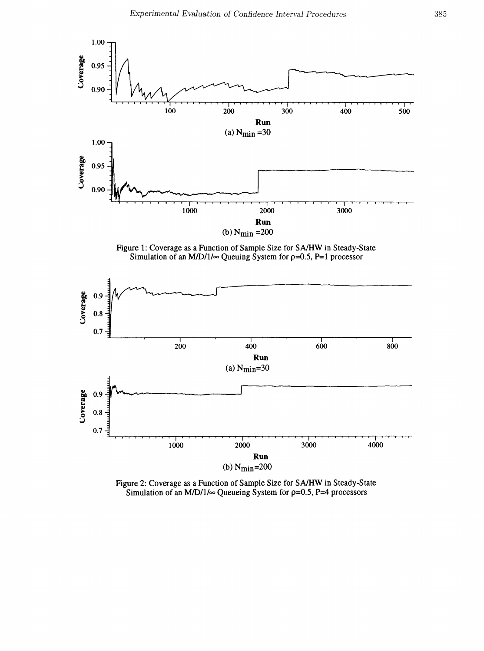





Figure 2: Coverage as a Function of Sample Size for SA/HW in Steady-State Simulation of an *M/D/1/* $\infty$  Queueing System for  $p=0.5$ , P=4 processors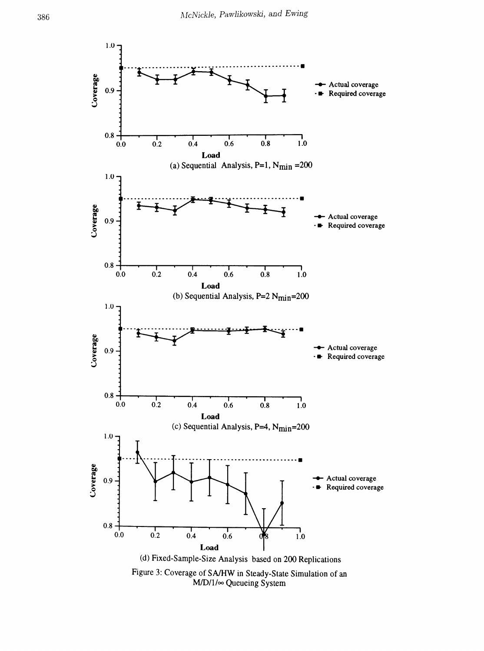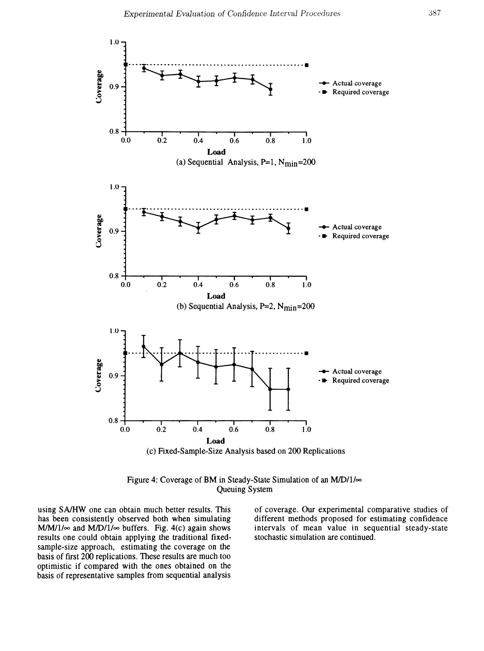





using SA/HW one can obtain much better results. This has been consistently observed both when simulating  $M/M/1/\infty$  and  $M/D/1/\infty$  buffers. Fig. 4(c) again shows results one could obtain applying the traditional fixedsample-size approach, estimating the coverage on the basis of frrst 200 replications. These results are much too optimistic if compared with the ones obtained on the basis of representative samples from sequential analysis

of coverage. Our experimental comparative studies of different methods proposed for estimating confidence intervals of mean value in sequential steady-state stochastic simulation are continued.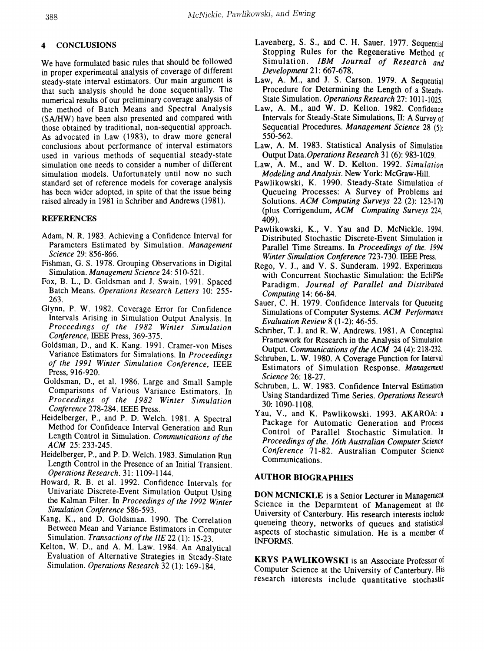# 4 CONCLUSIONS

We have formulated basic rules that should be followed in proper experimental analysis of coverage of different steady-state interval estimators. Our main argument is that such analysis should be done sequentially. The numerical results of our preliminary coverage analysis of the method of Batch Means and Spectral Analysis (SA/HW) have been also presented and compared with those obtained by traditional, non-sequential approach. As advocated in Law (1983), to draw more general conclusions about performance of interval estimators used in various methods of sequential steady-state simulation one needs to consider a number of different simulation models. Unfortunately until now no such standard set of reference models for coverage analysis has been wider adopted, in spite of that the issue being raised already in 1981 in Schriber and Andrews (1981).

### REFERENCES

- Adam, N. R. 1983. Achieving a Confidence Interval for Parameters Estimated by Simulation. *Management Science* 29: 856-866.
- Fishman, G. S. 1978. Grouping Observations in Digital Simulation. *Management Science* 24: 510-521.
- Fox, B. L., D. Goldsman and J. Swain. 1991. Spaced Batch Means. *Operations Research Letters* 10: 255- 263.
- Glynn, P. W. 1982. Coverage Error for Confidence Intervals Arising in Simulation Output Analysis. In *Proceedings of the* 1982 *Winter Simulation Conference,* IEEE Press, 369-375.
- Goldsman, D., and K. Kang. 1991. Cramer-von Mises Variance Estimators for Simulations. In *Proceedings of the* 1991 *Winter Simulation Conference,* IEEE Press, 916-920.
- Goldsman, D., et al. 1986. Large and Small Sample Comparisons of Various Variance Estimators. In *Proceedings of the* 1982 *Winter Simulation Conference* 278-284. IEEE Press.
- Heidelberger, P., and P. D. Welch. 1981. A Spectral Method for Confidence Interval Generation and Run Length Control in Simulation. *Communications of the* ACM 25: 233-245.
- Heidelberger, P., and P. D. Welch. 1983. Simulation Run Length Control in the Presence of an Initial Transient. *Operations Research.* 31: 1109-1144.
- Howard, R. B. et al. 1992. Confidence Intervals for Univariate Discrete-Event Simulation Output Using the Kalman Filter. In *Proceedings of the* 1992 *Winter Simulation Conference 586-593.*
- Kang, K., and D. Goldsman. 1990. The Correlation Between Mean and Variance Estimators in Computer Simulation. *Transactions of the IIE* 22 (1): 15-23.
- Kelton, W. D., and A. M. Law. 1984. An Analytical Evaluation of Alternative Strategies in Steady-State Simulation. *Operations Research* 32 (1): 169-184.
- Lavenberg, S. S., and C. H. Sauer. 1977. Sequential Stopping Rules for the Regenerative Method of Simulation. *IBM Journal of Research and Development* 21: 667-678.
- Law, A. M., and J. S. Carson. 1979. A Sequential Procedure for Determining the Length of a Steady-State Simulation. *Operations Research* 27: 1011-1025.
- Law, A. M., and W. D. Kelton. 1982. Confidence Intervals for Steady-State Simulations, IT: A Survey of Sequential Procedures. *Management Science* 28 (5): 550-562.
- Law, A. M. 1983. Statistical Analysis of Simulation Output Data.*Operations Research* 31 (6): 983-1029.
- Law, A. M., and W. D. Kelton. 1992. *Simulation Modeling and Analysis.* New York: McGraw-Hill.
- Pawlikowski, K. 1990. Steady-State Simulation of Queueing Processes: A Survey of Problems and Solutions. *ACM Computing Surveys* 22 (2): 123-170 (plus Corrigendum, *ACM Computing Surveys 224,* 409).
- Pawlikowski, K., V. Yau and D. McNickle. 1994. Distributed Stochastic Discrete-Event Simulation in Parallel Time Streams. In *Proceedings of the. 1994 Winter Simulation Conference* 723-730. IEEE Press.
- Rego, V. J., and V. S. Sunderam. 1992. Experiments with Concurrent Stochastic Simulation: the EcliPSe Paradigm. *Journal of Parallel and Distributed Computing* 14: 66-84. ,
- Sauer, C. H. 1979. Confidence Intervals for Queueing Simulations of Computer Systems. *ACM Performance Evaluation Review* 8 (1-2): 46-55.
- Schriber, T. J. and R. W. Andrews. 1981. A Conceptual Framework for Research in the Analysis of Simulation Output. *Communications ofthe ACM* 24 (4): 218-232.
- Schruben, L. W. 1980. A Coverage Function for Interval Estimators of Simulation Response. *Management Science* 26: 18-27.
- Schruben, L. W. 1983. Confidence Interval Estimation Using Standardized Time Series. *Operations Research* 30: 1090-1108.
- Yau, V., and K. Pawlikowski. 1993. AKAROA: a Package for Automatic Generation and Process Control of Parallel Stochastic Simulation. In *Proceedings ofthe. 16th Australian Computer Science Conference* 71-82. Australian Computer Science Communications.

## **AUTHOR BIOGRAPHIES**

DON MCNICKLE is a Senior Lecturer in Management Science in the Deparmtent of Management at the University of Canterbury. His research interests include queueing theory, networks of queues and statistical aspects of stochastic simulation. He is a member of INFORMS.

KRYS PAWLIKOWSKI is an Associate Professor of Computer Science at the University of Canterbury. His research interests include quantitative stochastic